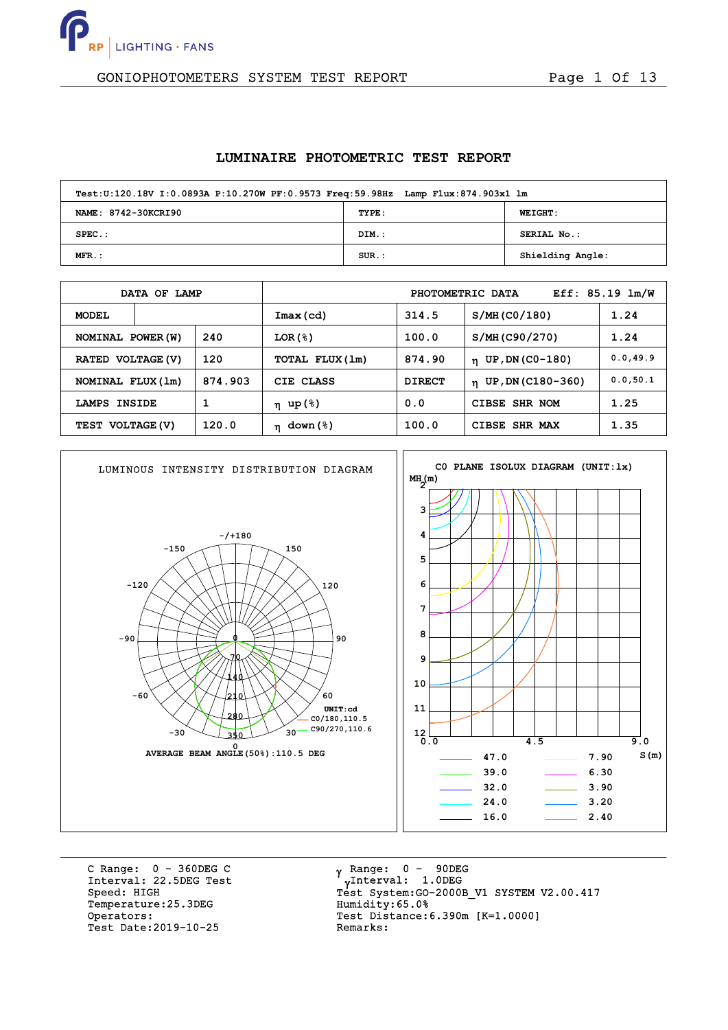

# GONIOPHOTOMETERS SYSTEM TEST REPORT FOR Page 1 Of 13

#### **LUMINAIRE PHOTOMETRIC TEST REPORT**

| Test:U:120.18V I:0.0893A P:10.270W PF:0.9573 Freq:59.98Hz Lamp Flux:874.903x1 lm |          |                  |  |  |  |  |  |  |  |
|----------------------------------------------------------------------------------|----------|------------------|--|--|--|--|--|--|--|
| NAME: 8742-30KCRI90                                                              | TYPE:    | <b>WEIGHT:</b>   |  |  |  |  |  |  |  |
| $SPEC.$ :                                                                        | DIM.:    | SERIAL No.:      |  |  |  |  |  |  |  |
| $MFR$ .:                                                                         | $SUR$ .: | Shielding Angle: |  |  |  |  |  |  |  |

|                   | DATA OF LAMP  |         |                 |               | PHOTOMETRIC DATA               | Eff: $85.19$ $lm/W$ |
|-------------------|---------------|---------|-----------------|---------------|--------------------------------|---------------------|
| <b>MODEL</b>      |               |         | $Imax$ (cd)     | 314.5         | S/MH (CO/180)                  | 1.24                |
| NOMINAL POWER (W) |               | 240     | LOR(8)          | 100.0         | S/MH (C90/270)                 | 1.24                |
| RATED VOLTAGE (V) |               | 120     | TOTAL FLUX (1m) | 874.90        | $n$ UP, DN (CO-180)            | 0.0, 49.9           |
| NOMINAL FLUX (1m) |               | 874.903 | CIE CLASS       | <b>DIRECT</b> | $\eta$ UP, DN (C180-360)       | 0.0, 50.1           |
| LAMPS             | <b>INSIDE</b> |         | $η$ up (%)      | 0.0           | CIBSE<br>SHR NOM               | 1.25                |
| TEST VOLTAGE (V)  |               | 120.0   | $\eta$ down (%) | 100.0         | <b>SHR MAX</b><br><b>CIBSE</b> | 1.35                |



C Range: 0 - 360DEG C Interval: 22.5DEG Test Speed: HIGH Temperature:25.3DEG Operators: Test Date:2019-10-25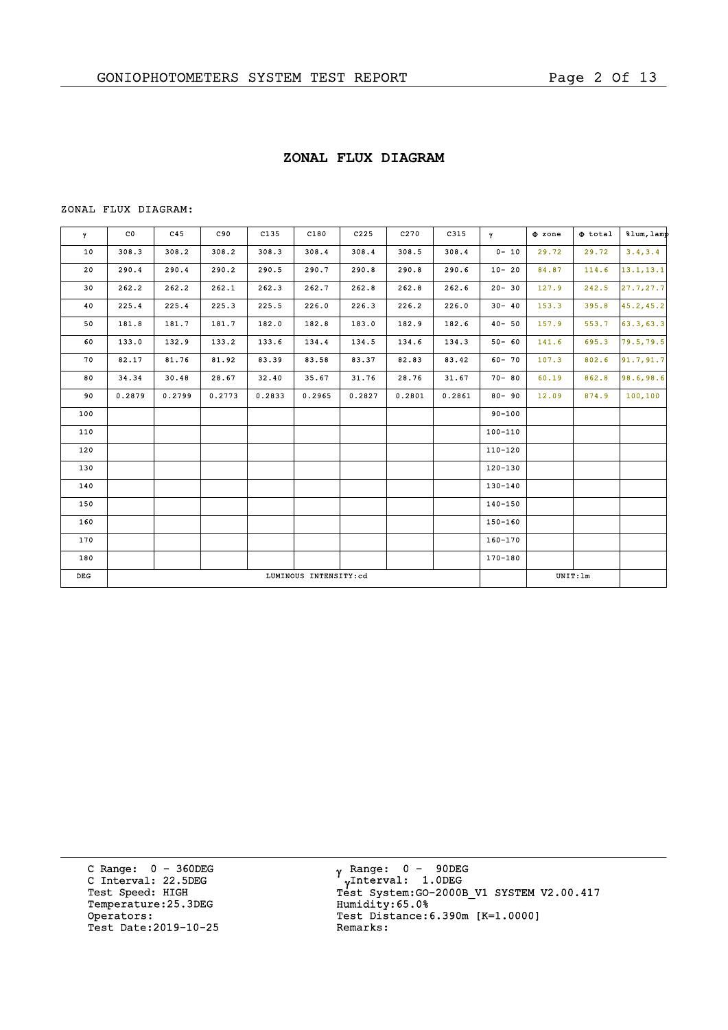# **ZONAL FLUX DIAGRAM**

#### ZONAL FLUX DIAGRAM:

| $\mathbf{Y}$ | $_{\rm CO}$ | C45    | C90    | C135   | C180                  | C225   | C270   | C315   | $\mathbf{y}$ | $\Phi$ zone | $\Phi$ total | $\text{Sum, } \text{Lam}$ |
|--------------|-------------|--------|--------|--------|-----------------------|--------|--------|--------|--------------|-------------|--------------|---------------------------|
| 10           | 308.3       | 308.2  | 308.2  | 308.3  | 308.4                 | 308.4  | 308.5  | 308.4  | $0 - 10$     | 29.72       | 29.72        | 3.4, 3.4                  |
| 20           | 290.4       | 290.4  | 290.2  | 290.5  | 290.7                 | 290.8  | 290.8  | 290.6  | $10 - 20$    | 84.87       | 114.6        | 13.1, 13.1                |
| 30           | 262.2       | 262.2  | 262.1  | 262.3  | 262.7                 | 262.8  | 262.8  | 262.6  | $20 - 30$    | 127.9       | 242.5        | 27.7, 27.7                |
| 40           | 225.4       | 225.4  | 225.3  | 225.5  | 226.0                 | 226.3  | 226.2  | 226.0  | $30 - 40$    | 153.3       | 395.8        | 45.2, 45.2                |
| 50           | 181.8       | 181.7  | 181.7  | 182.0  | 182.8                 | 183.0  | 182.9  | 182.6  | $40 - 50$    | 157.9       | 553.7        | 63.3, 63.3                |
| 60           | 133.0       | 132.9  | 133.2  | 133.6  | 134.4                 | 134.5  | 134.6  | 134.3  | $50 - 60$    | 141.6       | 695.3        | 79.5, 79.5                |
| 70           | 82.17       | 81.76  | 81.92  | 83.39  | 83.58                 | 83.37  | 82.83  | 83.42  | $60 - 70$    | 107.3       | 802.6        | 91.7, 91.7                |
| 80           | 34.34       | 30.48  | 28.67  | 32.40  | 35.67                 | 31.76  | 28.76  | 31.67  | $70 - 80$    | 60.19       | 862.8        | 98.6, 98.6                |
| 90           | 0.2879      | 0.2799 | 0.2773 | 0.2833 | 0.2965                | 0.2827 | 0.2801 | 0.2861 | $80 - 90$    | 12.09       | 874.9        | 100, 100                  |
| 100          |             |        |        |        |                       |        |        |        | $90 - 100$   |             |              |                           |
| 110          |             |        |        |        |                       |        |        |        | 100-110      |             |              |                           |
| 120          |             |        |        |        |                       |        |        |        | $110 - 120$  |             |              |                           |
| 130          |             |        |        |        |                       |        |        |        | $120 - 130$  |             |              |                           |
| 140          |             |        |        |        |                       |        |        |        | 130-140      |             |              |                           |
| 150          |             |        |        |        |                       |        |        |        | $140 - 150$  |             |              |                           |
| 160          |             |        |        |        |                       |        |        |        | $150 - 160$  |             |              |                           |
| 170          |             |        |        |        |                       |        |        |        | 160-170      |             |              |                           |
| 180          |             |        |        |        |                       |        |        |        | 170-180      |             |              |                           |
| DEG          |             |        |        |        | LUMINOUS INTENSITY:cd |        |        |        |              |             | UNIT: 1m     |                           |

C Range: 0 - 360DEG C Interval: 22.5DEG Test Speed: HIGH Temperature:25.3DEG Operators: Test Date:2019-10-25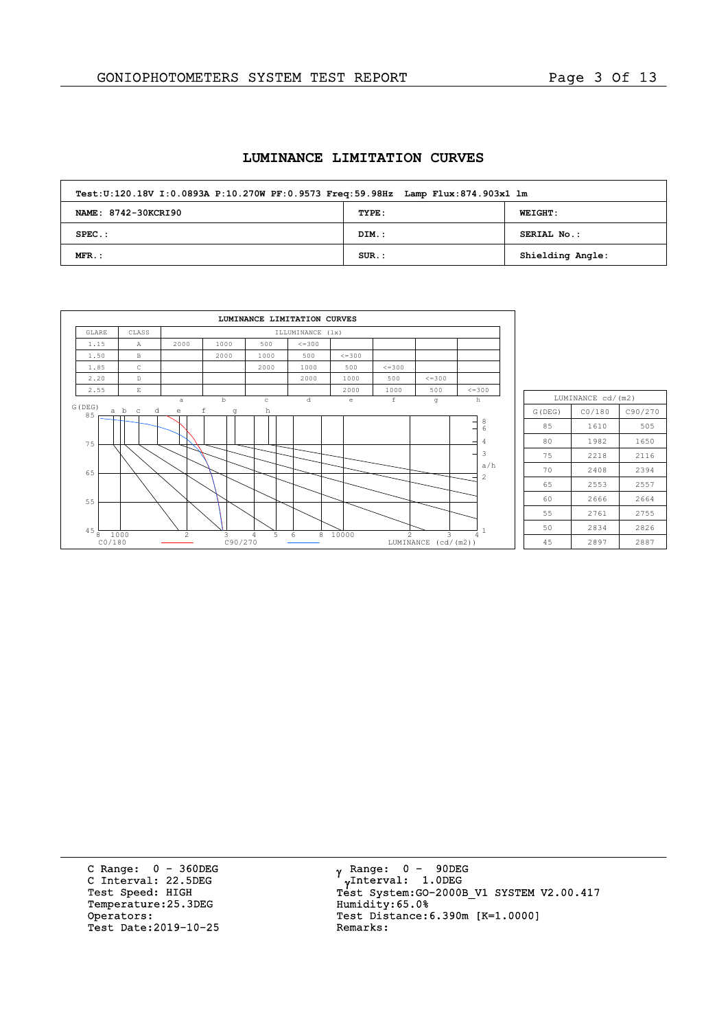# **LUMINANCE LIMITATION CURVES**

| Test:U:120.18V I:0.0893A P:10.270W PF:0.9573 Freq:59.98Hz Lamp Flux:874.903x1 lm |          |                  |  |  |  |  |  |  |  |
|----------------------------------------------------------------------------------|----------|------------------|--|--|--|--|--|--|--|
| NAME: 8742-30KCRI90                                                              | TYPE:    | <b>WEIGHT:</b>   |  |  |  |  |  |  |  |
| $SPEC.$ :                                                                        | DIM.:    | SERIAL No.:      |  |  |  |  |  |  |  |
| $MFR$ .:                                                                         | $SUR$ .: | Shielding Angle: |  |  |  |  |  |  |  |

|                   |                          |                 |                       | LUMINANCE LIMITATION CURVES |                  |                                   |                |                          |                       |
|-------------------|--------------------------|-----------------|-----------------------|-----------------------------|------------------|-----------------------------------|----------------|--------------------------|-----------------------|
| GLARE             | CLASS                    |                 |                       |                             | ILLUMINANCE (1x) |                                   |                |                          |                       |
| 1.15              | $\mathbb{A}$             | 2000            | 1000                  | 500                         | $\leq$ = 300     |                                   |                |                          |                       |
| 1.50              | $\,$ B                   |                 | 2000                  | 1000                        | 500              | $\leq$ = 300                      |                |                          |                       |
| 1.85              | C                        |                 |                       | 2000                        | 1000             | 500                               | $\leq$ = 300   |                          |                       |
| 2.20              | D                        |                 |                       |                             | 2000             | 1000                              | 500            | $\leq$ = 300             |                       |
| 2.55              | $\mathop{}\mathbb{E}$    |                 |                       |                             |                  | 2000                              | 1000           | 500                      | $\leq$ = 300          |
| G(DEG)<br>85      | a b<br>d<br>$\mathtt{C}$ | a<br>$\epsilon$ | $\mathbf b$<br>f<br>g | $_{\rm c}$<br>h             | d                | $\mathsf{e}% _{t}\left( t\right)$ | $\,$ f         | $\sigma$                 | h<br>$\frac{8}{6}$    |
| 75                |                          |                 |                       |                             |                  |                                   |                |                          | 4<br>3                |
| 65                |                          |                 |                       |                             |                  |                                   |                |                          | a/h<br>$\overline{c}$ |
| 55                |                          |                 |                       |                             |                  |                                   |                |                          |                       |
| 45<br>8<br>CO/180 | 1000                     | $\overline{c}$  | 3<br>C90/270          | 5<br>4                      | 8<br>6           | 10000                             | $\mathfrak{D}$ | 3<br>LUMINANCE (cd/(m2)) | 4                     |

| LUMINANCE cd/(m2) |        |      |  |  |  |  |  |  |  |
|-------------------|--------|------|--|--|--|--|--|--|--|
| G(DEG)            | CO/180 |      |  |  |  |  |  |  |  |
| 8.5               | 505    |      |  |  |  |  |  |  |  |
| 80                | 1982   | 1650 |  |  |  |  |  |  |  |
| 75                | 2218   | 2116 |  |  |  |  |  |  |  |
| 70                | 2408   | 2394 |  |  |  |  |  |  |  |
| 65                | 2553   | 2557 |  |  |  |  |  |  |  |
| 60                | 2666   | 2664 |  |  |  |  |  |  |  |
| 55                | 2761   | 2755 |  |  |  |  |  |  |  |
| 50                | 2834   | 2826 |  |  |  |  |  |  |  |
| 4.5               | 2897   | 2887 |  |  |  |  |  |  |  |

C Range: 0 - 360DEG C Interval: 22.5DEG Test Speed: HIGH Temperature:25.3DEG Operators: Test Date:2019-10-25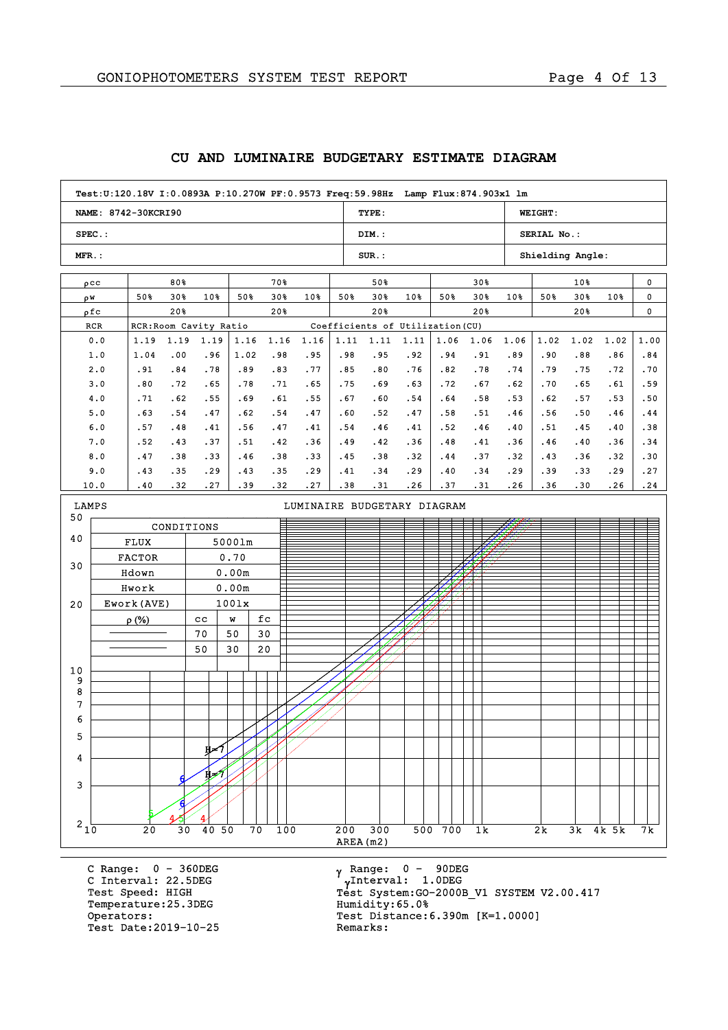|                                      |                     |                        |            |            |            |    |            | Test:U:120.18V I:0.0893A P:10.270W PF:0.9573 Freq:59.98Hz Lamp Flux:874.903x1 lm |            |                                  |            |            |            |            |                |                                                                                                                                                                                                                                                                                                       |     |  |  |  |
|--------------------------------------|---------------------|------------------------|------------|------------|------------|----|------------|----------------------------------------------------------------------------------|------------|----------------------------------|------------|------------|------------|------------|----------------|-------------------------------------------------------------------------------------------------------------------------------------------------------------------------------------------------------------------------------------------------------------------------------------------------------|-----|--|--|--|
|                                      | NAME: 8742-30KCRI90 |                        |            |            |            |    |            |                                                                                  |            | TYPE:                            |            |            |            |            | <b>WEIGHT:</b> |                                                                                                                                                                                                                                                                                                       |     |  |  |  |
|                                      | $SPEC.$ :           |                        |            |            |            |    |            |                                                                                  |            | DIM.:                            |            |            |            |            | SERIAL No.:    |                                                                                                                                                                                                                                                                                                       |     |  |  |  |
| $MFR$ .:                             |                     |                        |            |            |            |    |            |                                                                                  |            | $SUR.$ :                         |            |            |            |            |                | Shielding Angle:<br>10%<br>0<br>30%<br>10%<br>0<br>20%<br>0<br>1.02<br>1.02<br>1.00<br>.88<br>.84<br>.86<br>.75<br>.70<br>.72<br>.65<br>.59<br>.61<br>.57<br>.50<br>.53<br>.50<br>.44<br>.46<br>.45<br>.40<br>.38<br>.40<br>.34<br>.36<br>.36<br>.30<br>.32<br>.27<br>.33<br>.29<br>.26<br>.30<br>.24 |     |  |  |  |
|                                      | $\rho$ CC           |                        | 80%        |            |            |    | 70%        |                                                                                  |            | 50%                              |            |            | $30*$      |            |                |                                                                                                                                                                                                                                                                                                       |     |  |  |  |
| ρW                                   |                     | 50%                    | 30%        | 10%        | 50%        |    | $30*$      | 10%                                                                              | 50%        | 30%                              | $10*$      | 50%        | $30*$      | 10%        | 50%            |                                                                                                                                                                                                                                                                                                       |     |  |  |  |
|                                      | $\rho$ fc           |                        | 20%        |            |            |    | 20%        |                                                                                  |            | 20%                              |            |            | 20%        |            |                |                                                                                                                                                                                                                                                                                                       |     |  |  |  |
|                                      | RCR                 | RCR: Room Cavity Ratio |            |            |            |    |            |                                                                                  |            | Coefficients of Utilization (CU) |            |            |            |            |                |                                                                                                                                                                                                                                                                                                       |     |  |  |  |
|                                      | 0.0                 | 1.19                   | 1.19       | 1.19       | 1.16       |    | 1.16       | 1.16                                                                             | 1.11       | 1.11                             | 1.11       | 1.06       | 1.06       | 1.06       | 1.02           |                                                                                                                                                                                                                                                                                                       |     |  |  |  |
|                                      | 1.0                 | 1.04                   | .00        | .96        | 1.02       |    | .98        | .95                                                                              | .98        | .95                              | .92        | .94        | .91        | .89        | .90            |                                                                                                                                                                                                                                                                                                       |     |  |  |  |
|                                      | 2.0<br>3.0          | .91<br>.80             | .84<br>.72 | .78<br>.65 | .89<br>.78 |    | .83<br>.71 | .77<br>.65                                                                       | .85<br>.75 | .80<br>.69                       | .76<br>.63 | .82<br>.72 | .78<br>.67 | .74<br>.62 | .79<br>.70     |                                                                                                                                                                                                                                                                                                       |     |  |  |  |
|                                      | 4.0                 | .71                    | .62        | .55        | .69        |    | .61        | .55                                                                              | .67        | .60                              | .54        | .64        | .58        | .53        | .62            |                                                                                                                                                                                                                                                                                                       |     |  |  |  |
|                                      | 5.0                 | .63                    | .54        | .47        | .62        |    | .54        | .47                                                                              | .60        | .52                              | .47        | .58        | .51        | .46        | .56            |                                                                                                                                                                                                                                                                                                       |     |  |  |  |
|                                      | 6.0                 | .57                    | .48        | .41        | .56        |    | .47        | .41                                                                              | .54        | .46                              | .41        | .52        | .46        | .40        | .51            |                                                                                                                                                                                                                                                                                                       |     |  |  |  |
|                                      | 7.0                 | .52                    | .43        | .37        | .51        |    | .42        | .36                                                                              | .49        | .42                              | .36        | .48        | .41        | .36        | .46            |                                                                                                                                                                                                                                                                                                       |     |  |  |  |
|                                      | 8.0                 | .47                    | .38        | .33        | .46        |    | .38        | .33                                                                              | .45        | .38                              | .32        | .44        | .37        | .32        | .43            |                                                                                                                                                                                                                                                                                                       |     |  |  |  |
|                                      | 9.0                 | .43                    | .35        | .29        | .43        |    | .35        | .29                                                                              | .41        | .34                              | .29        | .40        | .34        | .29        | .39            |                                                                                                                                                                                                                                                                                                       |     |  |  |  |
|                                      | 10.0                | .40                    | .32        | .27        | .39        |    | .32        | .27                                                                              | .38        | .31                              | .26        | .37        | .31        | .26        | .36            |                                                                                                                                                                                                                                                                                                       |     |  |  |  |
| LAMPS<br>LUMINAIRE BUDGETARY DIAGRAM |                     |                        |            |            |            |    |            |                                                                                  |            |                                  |            |            |            |            |                |                                                                                                                                                                                                                                                                                                       |     |  |  |  |
| 50                                   |                     |                        | CONDITIONS |            |            |    |            |                                                                                  |            |                                  |            |            |            |            |                |                                                                                                                                                                                                                                                                                                       |     |  |  |  |
| 40                                   |                     | <b>FLUX</b>            |            |            | 50001m     |    |            |                                                                                  |            |                                  |            |            |            |            |                |                                                                                                                                                                                                                                                                                                       |     |  |  |  |
|                                      |                     | <b>FACTOR</b>          |            |            | 0.70       |    |            |                                                                                  |            |                                  |            |            |            |            |                |                                                                                                                                                                                                                                                                                                       |     |  |  |  |
| 30                                   |                     | Hdown                  |            |            | 0.00m      |    |            |                                                                                  |            |                                  |            |            |            |            |                |                                                                                                                                                                                                                                                                                                       |     |  |  |  |
|                                      |                     | Hwork                  |            |            | 0.00m      |    |            |                                                                                  |            |                                  |            |            |            |            |                |                                                                                                                                                                                                                                                                                                       |     |  |  |  |
| 20                                   |                     | Ework (AVE)            |            |            | 1001x      |    |            |                                                                                  |            |                                  |            |            |            |            |                |                                                                                                                                                                                                                                                                                                       |     |  |  |  |
|                                      |                     | $\rho$ (%)             |            | cc         | W          | fc |            |                                                                                  |            |                                  |            |            |            |            |                |                                                                                                                                                                                                                                                                                                       |     |  |  |  |
|                                      |                     |                        |            | 70         | 50         | 30 |            |                                                                                  |            |                                  |            |            |            |            |                |                                                                                                                                                                                                                                                                                                       |     |  |  |  |
|                                      |                     |                        |            | 50         | 30         | 20 |            |                                                                                  |            |                                  |            |            |            |            |                |                                                                                                                                                                                                                                                                                                       |     |  |  |  |
|                                      |                     |                        |            |            |            |    |            |                                                                                  |            |                                  |            |            |            |            |                |                                                                                                                                                                                                                                                                                                       |     |  |  |  |
| 10<br>9                              |                     |                        |            |            |            |    |            |                                                                                  |            |                                  |            |            |            |            |                |                                                                                                                                                                                                                                                                                                       |     |  |  |  |
| 8                                    |                     |                        |            |            |            |    |            |                                                                                  |            |                                  |            |            |            |            |                |                                                                                                                                                                                                                                                                                                       |     |  |  |  |
| 7                                    |                     |                        |            |            |            |    |            |                                                                                  |            |                                  |            |            |            |            |                |                                                                                                                                                                                                                                                                                                       |     |  |  |  |
| 6                                    |                     |                        |            |            |            |    |            |                                                                                  |            |                                  |            |            |            |            |                |                                                                                                                                                                                                                                                                                                       |     |  |  |  |
| 5                                    |                     |                        |            |            |            |    |            |                                                                                  |            |                                  |            |            |            |            |                |                                                                                                                                                                                                                                                                                                       |     |  |  |  |
| 4                                    |                     |                        |            | ℍ⋍⅂        |            |    |            |                                                                                  |            |                                  |            |            |            |            |                |                                                                                                                                                                                                                                                                                                       |     |  |  |  |
|                                      |                     |                        |            | ⊮          |            |    |            |                                                                                  |            |                                  |            |            |            |            |                |                                                                                                                                                                                                                                                                                                       |     |  |  |  |
| 3                                    |                     |                        |            |            |            |    |            |                                                                                  |            |                                  |            |            |            |            |                |                                                                                                                                                                                                                                                                                                       |     |  |  |  |
|                                      |                     |                        |            |            |            |    |            |                                                                                  |            |                                  |            |            |            |            |                |                                                                                                                                                                                                                                                                                                       |     |  |  |  |
| $^2$ 1 $\!\overleftarrow{\!}0$       |                     |                        |            |            |            |    |            |                                                                                  |            |                                  |            |            |            |            |                |                                                                                                                                                                                                                                                                                                       |     |  |  |  |
|                                      |                     | 20                     | 30         | 40 50      |            | 70 | 100        |                                                                                  | 200        | 300<br>AREA (m2)                 |            | 500 700    | 1 k        |            | 2k             | $3k$ 4 $k$ 5 $k$                                                                                                                                                                                                                                                                                      | 7 k |  |  |  |
|                                      |                     |                        |            |            |            |    |            |                                                                                  |            |                                  |            |            |            |            |                |                                                                                                                                                                                                                                                                                                       |     |  |  |  |

# **CU AND LUMINAIRE BUDGETARY ESTIMATE DIAGRAM**

C Range: 0 - 360DEG C Interval: 22.5DEG Test Speed: HIGH Temperature:25.3DEG Operators: Test Date:2019-10-25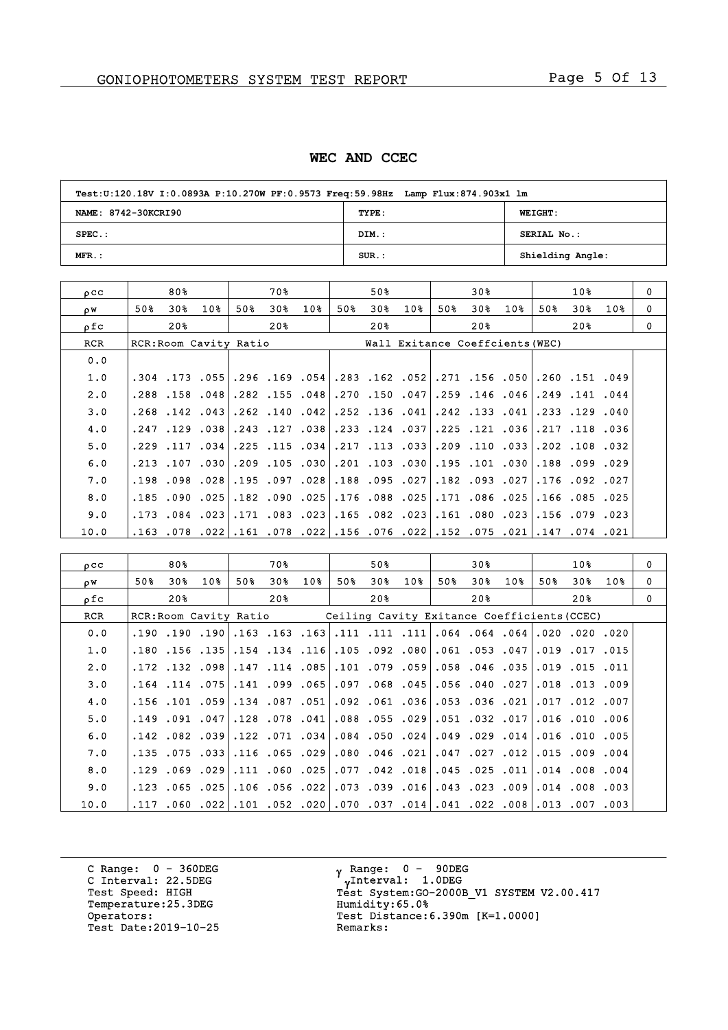### **WEC AND CCEC**

| Test:U:120.18V I:0.0893A P:10.270W PF:0.9573 Freq:59.98Hz Lamp Flux:874.903x1 lm |       |                  |
|----------------------------------------------------------------------------------|-------|------------------|
| NAME: 8742-30KCRI90                                                              | TYPE: | <b>WEIGHT:</b>   |
| $SPEC.$ :                                                                        | DIM.: | SERIAL No.:      |
| $MFR$ .:                                                                         | SUR.: | Shielding Angle: |

| $_{0}$ $_{\rm CC}$ |                        | 80% |                      |     | 70% |                      |                                 | 50% |                                                                                     |     | 30% |                 |     | 10%                  |                 | $\Omega$ |
|--------------------|------------------------|-----|----------------------|-----|-----|----------------------|---------------------------------|-----|-------------------------------------------------------------------------------------|-----|-----|-----------------|-----|----------------------|-----------------|----------|
| ρW                 | 50%                    | 30% | 10 <sub>8</sub>      | 50% | 30% | 10 <sub>8</sub>      | 50%                             | 30% | 10 <sub>8</sub>                                                                     | 50% | 30% | 10 <sub>8</sub> | 50% | 30%                  | 10 <sub>8</sub> | 0        |
| ρfc                |                        | 20% |                      |     | 20% |                      |                                 | 20% |                                                                                     |     | 20% |                 |     | 20%                  |                 | 0        |
| RCR                | RCR: Room Cavity Ratio |     |                      |     |     |                      | Wall Exitance Coeffcients (WEC) |     |                                                                                     |     |     |                 |     |                      |                 |          |
| 0.0                |                        |     |                      |     |     |                      |                                 |     |                                                                                     |     |     |                 |     |                      |                 |          |
| 1.0                |                        |     |                      |     |     |                      |                                 |     | 049. 151. 260. 151- 156. 171.  152. 162. 163.  154. 165.  166. 155.  168. 173. 164. |     |     |                 |     |                      |                 |          |
| 2.0                |                        |     | .288.158.048         |     |     | $.282$ $.155$ $.048$ |                                 |     | ا046. 146. 259. 259. 270. 270.                                                      |     |     |                 |     | $.249$ $.141$ $.044$ |                 |          |
| 3.0                |                        |     | $.268$ $.142$ $.043$ |     |     |                      |                                 |     | .262. 140. 132. 041. 136. 136. 042. 140. 140.                                       |     |     |                 |     | .233.129.040         |                 |          |
| 4.0                | .247                   |     | ا 038. 129.          |     |     |                      |                                 |     | .243 .121 .038 .233 .124 .037 .225 .121 .036                                        |     |     |                 |     | .217.118.036         |                 |          |
| 5.0                |                        |     |                      |     |     |                      |                                 |     | .032. 108. 202. 203. 110. 209. 203. 113. 117. 204. 151. 225. 204. 117. 229.         |     |     |                 |     |                      |                 |          |
| 6.0                |                        |     | .213 .107 .030       |     |     | $.209$ $.105$ $.030$ |                                 |     | .201 .103 .030 .195 .101 .030                                                       |     |     |                 |     | .188.099.029         |                 |          |
| 7.0                |                        |     |                      |     |     |                      |                                 |     | 270. 093. 182. 271. 095. 188 28. 097. 097. 028. 28. 098. 198.                       |     |     |                 |     | .176 .092 .027       |                 |          |
| 8.0                | .185                   |     | .090.025             |     |     | $.182$ $.090$ $.025$ |                                 |     | .176.088.171.171.086.025                                                            |     |     |                 |     | $.166$ $.085$ $.025$ |                 |          |
| 9.0                |                        |     | .173 .084 .023       |     |     |                      |                                 |     | .171 .083 .023 .165 .082 .023 .161 .080 .023                                        |     |     |                 |     | .156 .079 .023       |                 |          |
| 10.0               |                        |     |                      |     |     |                      |                                 |     | 021. 074., 147., 221., 252., 262., 266., 266., 268., 268., 268., 262., 268., 163.   |     |     |                 |     |                      |                 |          |

| 0 <sub>C</sub> |     | 80%                    |     |     | 70%                                                                          |     |     | 50%                           |     |     | 30% |                                             |     | 10 <sub>8</sub>      |                | $\mathbf 0$ |
|----------------|-----|------------------------|-----|-----|------------------------------------------------------------------------------|-----|-----|-------------------------------|-----|-----|-----|---------------------------------------------|-----|----------------------|----------------|-------------|
| OW.            | 50% | 30%                    | 10% | 50% | 30%                                                                          | 10% | 50% | 30%                           | 10% | 50% | 30% | 10%                                         | 50% | 30%                  | 10%            | $\Omega$    |
| ρfc            |     | 20 <sub>8</sub>        |     |     | 20%                                                                          |     |     | $20\%$                        |     |     | 20% |                                             |     | 20%                  |                | $\Omega$    |
| <b>RCR</b>     |     | RCR: Room Cavity Ratio |     |     |                                                                              |     |     |                               |     |     |     | Ceiling Cavity Exitance Coefficients (CCEC) |     |                      |                |             |
| 0.0            |     | .190.190.190           |     |     | $.163$ $.163$ $.163$                                                         |     |     |                               |     |     |     | $.111$ $.111$ $.111$ $.064$ $.064$ $.064$   |     |                      | .020 .020 .020 |             |
| 1.0            |     | $.180$ $.156$ $.135$   |     |     | $.154$ $.134$ $.116$                                                         |     |     |                               |     |     |     | .105.092.080.061.053.047                    |     | .019.017.015         |                |             |
| 2.0            |     | .172 .132 .098         |     |     | $.147$ $.114$ $.085$                                                         |     |     |                               |     |     |     | .101.079.059.058.046.035                    |     | $.019$ $.015$ $.011$ |                |             |
| 3.0            |     | $.164$ $.114$ $.075$   |     |     | .141 .099 .065                                                               |     |     |                               |     |     |     | .097.068.045056.040.027.                    |     | .018.013.009         |                |             |
| 4.0            |     | $.156$ $.101$ $.059$   |     |     | .134.087.051                                                                 |     |     | 021. 036. 053. 054. 059. 092. |     |     |     |                                             |     | .017.012.007         |                |             |
| 5.0            |     | $.149$ $.091$ $.047$   |     |     | $.128$ .078 .041                                                             |     |     |                               |     |     |     | .088.055.029.051.032.017                    |     | $.016$ $.010$ $.006$ |                |             |
| 6.0            |     | $.142$ $.082$ $.039$   |     |     | .122.071.034                                                                 |     |     |                               |     |     |     | .084.050.024.049.029.014                    |     | .016.010.005         |                |             |
| 7.0            |     |                        |     |     | .135.075.116.116.065.135.                                                    |     |     |                               |     |     |     | $.080$ .046.021.047.027.012.                |     | .015.009.004         |                |             |
| 8.0            |     | .129.069.029           |     |     | $.111$ .060 .025                                                             |     |     | 011. 025. 018. 018. 042. 077. |     |     |     |                                             |     | $.014$ .008 .004     |                |             |
| 9.0            |     |                        |     |     | .123.065.106.106.056.123.                                                    |     |     |                               |     |     |     | .003, 008, 014.109.023, 023, 009.014.008.   |     |                      |                |             |
| 10.0           |     |                        |     |     | .003, 007, 013, 008, 022, 0.41, 041, 037, 070, 020, 052, 011, 022, 060, 117, |     |     |                               |     |     |     |                                             |     |                      |                |             |

C Range: 0 - 360DEG C Interval: 22.5DEG Test Speed: HIGH Temperature:25.3DEG Operators: Test Date:2019-10-25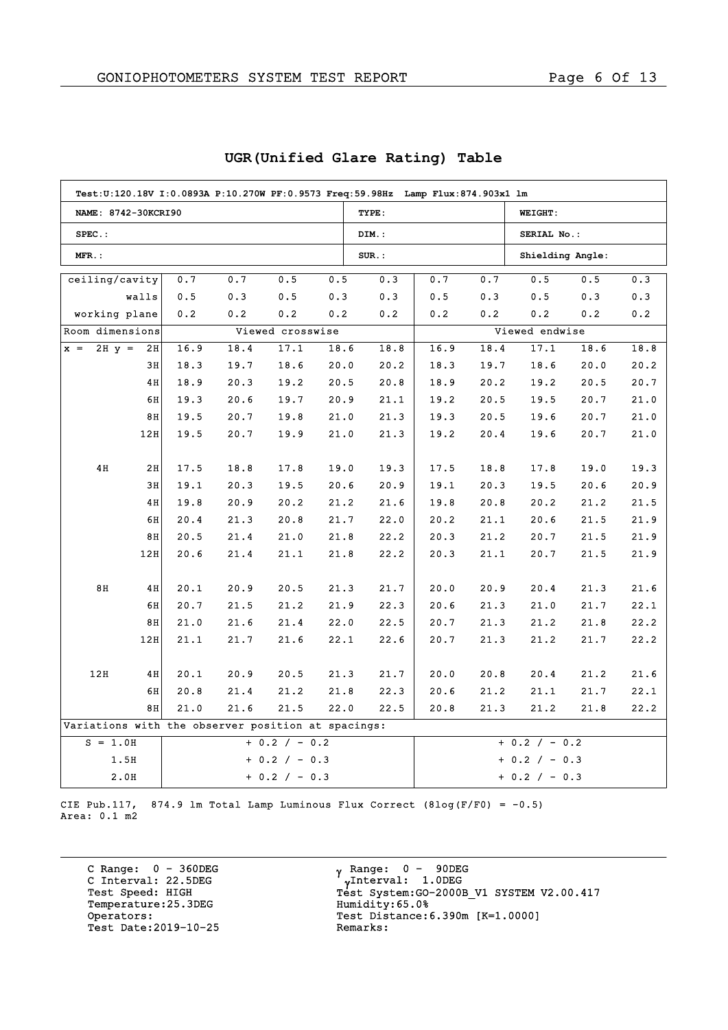| Test:U:120.18V I:0.0893A P:10.270W PF:0.9573 Freq:59.98Hz Lamp Flux:874.903x1 lm |      |      |                  |      |          |      |      |                  |                                                                                                                                                                              |      |  |  |  |  |  |
|----------------------------------------------------------------------------------|------|------|------------------|------|----------|------|------|------------------|------------------------------------------------------------------------------------------------------------------------------------------------------------------------------|------|--|--|--|--|--|
| NAME: 8742-30KCRI90                                                              |      |      |                  |      | TYPE:    |      |      | <b>WEIGHT:</b>   |                                                                                                                                                                              |      |  |  |  |  |  |
| $SPEC.$ :                                                                        |      |      |                  |      | DIM.:    |      |      | SERIAL No.:      |                                                                                                                                                                              |      |  |  |  |  |  |
| MFR.:                                                                            |      |      |                  |      | $SUR.$ : |      |      | Shielding Angle: |                                                                                                                                                                              |      |  |  |  |  |  |
| ceiling/cavity                                                                   | 0.7  | 0.7  | 0.5              | 0.5  | 0.3      | 0.7  | 0.7  | 0.5              | 0.5                                                                                                                                                                          | 0.3  |  |  |  |  |  |
| walls                                                                            | 0.5  | 0.3  | 0.5              | 0.3  | 0.3      | 0.5  | 0.3  | 0.5              | 0.3                                                                                                                                                                          | 0.3  |  |  |  |  |  |
| working plane<br>0.2<br>0.2<br>0.2<br>0.2                                        |      |      |                  |      | 0.2      | 0.2  | 0.2  | 0.2              | 0.2                                                                                                                                                                          | 0.2  |  |  |  |  |  |
| Room dimensions                                                                  |      |      | Viewed crosswise |      |          |      |      | Viewed endwise   | 18.6<br>18.8<br>20.0<br>20.2<br>20.5<br>20.7<br>20.7<br>21.0<br>20.7<br>21.0<br>20.7<br>21.0<br>19.3<br>19.0<br>20.6<br>20.9<br>21.5<br>21.2<br>21.5<br>21.9<br>21.9<br>21.5 |      |  |  |  |  |  |
| $2H y =$<br>2H<br>$x =$                                                          | 16.9 | 18.4 | 17.1             | 18.6 | 18.8     | 16.9 | 18.4 | 17.1             |                                                                                                                                                                              |      |  |  |  |  |  |
| 3H                                                                               | 18.3 | 19.7 | 18.6             | 20.0 | 20.2     | 18.3 | 19.7 | 18.6             |                                                                                                                                                                              |      |  |  |  |  |  |
| 4H                                                                               | 18.9 | 20.3 | 19.2             | 20.5 | 20.8     | 18.9 | 20.2 | 19.2             |                                                                                                                                                                              |      |  |  |  |  |  |
| 6H                                                                               | 19.3 | 20.6 | 19.7             | 20.9 | 21.1     | 19.2 | 20.5 | 19.5             |                                                                                                                                                                              |      |  |  |  |  |  |
| 8H                                                                               | 19.5 | 20.7 | 19.8             | 21.0 | 21.3     | 19.3 | 20.5 | 19.6             |                                                                                                                                                                              |      |  |  |  |  |  |
| 12H                                                                              | 19.5 | 20.7 | 19.9             | 21.0 | 21.3     | 19.2 | 20.4 | 19.6             |                                                                                                                                                                              |      |  |  |  |  |  |
|                                                                                  |      |      |                  |      |          |      |      |                  |                                                                                                                                                                              |      |  |  |  |  |  |
| 4 H<br>2H                                                                        | 17.5 | 18.8 | 17.8             | 19.0 | 19.3     | 17.5 | 18.8 | 17.8             |                                                                                                                                                                              |      |  |  |  |  |  |
| 3H                                                                               | 19.1 | 20.3 | 19.5             | 20.6 | 20.9     | 19.1 | 20.3 | 19.5             |                                                                                                                                                                              |      |  |  |  |  |  |
| 4H                                                                               | 19.8 | 20.9 | 20.2             | 21.2 | 21.6     | 19.8 | 20.8 | 20.2             |                                                                                                                                                                              |      |  |  |  |  |  |
| 6H                                                                               | 20.4 | 21.3 | 20.8             | 21.7 | 22.0     | 20.2 | 21.1 | 20.6             |                                                                                                                                                                              |      |  |  |  |  |  |
| 8H                                                                               | 20.5 | 21.4 | 21.0             | 21.8 | 22.2     | 20.3 | 21.2 | 20.7             |                                                                                                                                                                              |      |  |  |  |  |  |
| 12H                                                                              | 20.6 | 21.4 | 21.1             | 21.8 | 22.2     | 20.3 | 21.1 | 20.7             | 21.5                                                                                                                                                                         | 21.9 |  |  |  |  |  |
|                                                                                  |      |      |                  |      |          |      |      |                  |                                                                                                                                                                              |      |  |  |  |  |  |
| 8H<br>4H                                                                         | 20.1 | 20.9 | 20.5             | 21.3 | 21.7     | 20.0 | 20.9 | 20.4             | 21.3                                                                                                                                                                         | 21.6 |  |  |  |  |  |
| 6H                                                                               | 20.7 | 21.5 | 21.2             | 21.9 | 22.3     | 20.6 | 21.3 | 21.0             | 21.7                                                                                                                                                                         | 22.1 |  |  |  |  |  |
| 8H                                                                               | 21.0 | 21.6 | 21.4             | 22.0 | 22.5     | 20.7 | 21.3 | 21.2             | 21.8                                                                                                                                                                         | 22.2 |  |  |  |  |  |
| 12H                                                                              | 21.1 | 21.7 | 21.6             | 22.1 | 22.6     | 20.7 | 21.3 | 21.2             | 21.7                                                                                                                                                                         | 22.2 |  |  |  |  |  |
|                                                                                  |      |      |                  |      |          |      |      |                  |                                                                                                                                                                              |      |  |  |  |  |  |
| 12H<br>4H                                                                        | 20.1 | 20.9 | 20.5             | 21.3 | 21.7     | 20.0 | 20.8 | 20.4             | 21.2                                                                                                                                                                         | 21.6 |  |  |  |  |  |
| 6H                                                                               | 20.8 | 21.4 | 21.2             | 21.8 | 22.3     | 20.6 | 21.2 | 21.1             | 21.7                                                                                                                                                                         | 22.1 |  |  |  |  |  |
| 8H                                                                               | 21.0 | 21.6 | 21.5             | 22.0 | 22.5     | 20.8 | 21.3 | 21.2             | 21.8                                                                                                                                                                         | 22.2 |  |  |  |  |  |
| Variations with the observer position at spacings:                               |      |      |                  |      |          |      |      |                  |                                                                                                                                                                              |      |  |  |  |  |  |
| $S = 1.0H$                                                                       |      |      | $+ 0.2 / - 0.2$  |      |          |      |      | $+ 0.2 / - 0.2$  |                                                                                                                                                                              |      |  |  |  |  |  |
| 1.5H<br>$+ 0.2 / - 0.3$                                                          |      |      |                  |      |          |      |      | $+ 0.2 / - 0.3$  |                                                                                                                                                                              |      |  |  |  |  |  |
| 2.0H<br>$+ 0.2 / - 0.3$                                                          |      |      |                  |      |          |      |      | $+ 0.2 / - 0.3$  |                                                                                                                                                                              |      |  |  |  |  |  |

# **UGR(Unified Glare Rating) Table**

CIE Pub.117, 874.9 lm Total Lamp Luminous Flux Correct (8log(F/F0) = -0.5) Area: 0.1 m2

C Range: 0 - 360DEG C Interval: 22.5DEG Test Speed: HIGH Temperature:25.3DEG Operators: Test Date:2019-10-25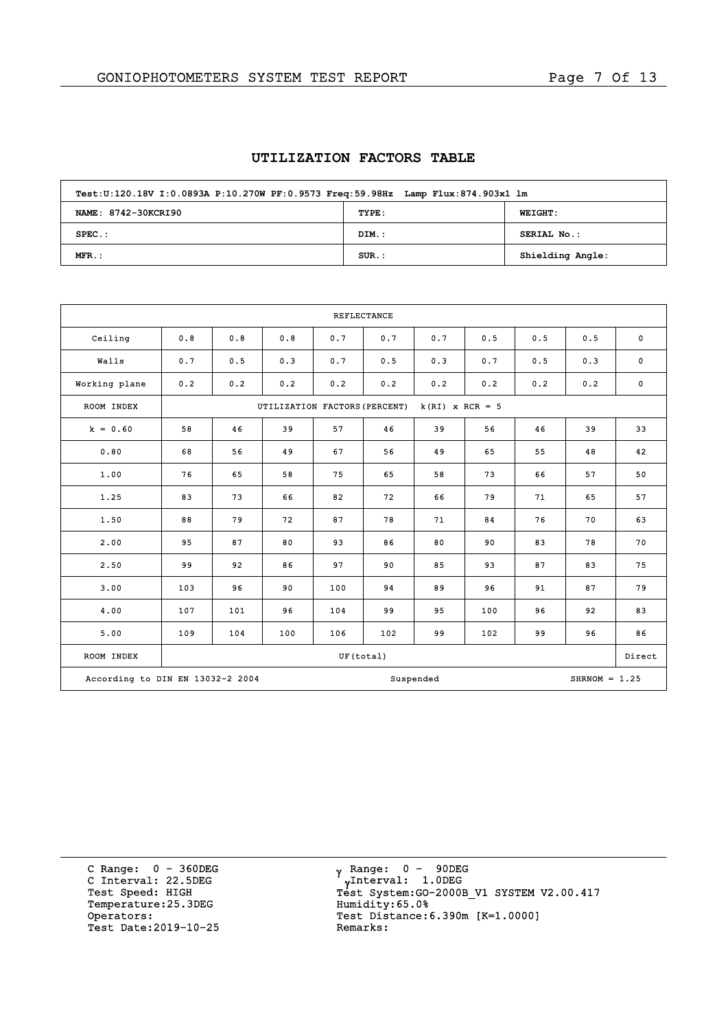# **UTILIZATION FACTORS TABLE**

| Test:U:120.18V I:0.0893A P:10.270W PF:0.9573 Freq:59.98Hz Lamp Flux:874.903x1 lm |          |                  |  |  |  |  |  |  |  |
|----------------------------------------------------------------------------------|----------|------------------|--|--|--|--|--|--|--|
| NAME: 8742-30KCRI90                                                              | TYPE:    | <b>WEIGHT:</b>   |  |  |  |  |  |  |  |
| $SPEC.$ :                                                                        | DIM.:    | SERIAL No.:      |  |  |  |  |  |  |  |
| $MFR.$ :                                                                         | $SUR$ .: | Shielding Angle: |  |  |  |  |  |  |  |

|                                  | <b>REFLECTANCE</b>   |     |                               |           |     |                   |                |                |                 |             |  |  |
|----------------------------------|----------------------|-----|-------------------------------|-----------|-----|-------------------|----------------|----------------|-----------------|-------------|--|--|
| Ceiling                          | 0.8                  | 0.8 | 0.8                           | 0.7       | 0.7 | 0.7               |                | 0.5<br>0.5     |                 | $\mathbf 0$ |  |  |
| Walls                            | 0.7                  | 0.5 | 0.3                           | 0.7       | 0.5 | 0.3               | 0.7            | 0.5            | 0.3             | $\mathbf 0$ |  |  |
| Working plane                    | 0.2                  | 0.2 | 0.2                           | 0.2       | 0.2 | 0.2               | 0.2            | 0.2            | 0.2             | $\mathbf 0$ |  |  |
| ROOM INDEX                       |                      |     | UTILIZATION FACTORS (PERCENT) |           |     | $k(RI)$ x RCR = 5 |                |                |                 |             |  |  |
| $k = 0.60$                       | 58                   | 46  | 39                            | 57        | 46  | 39                | 56             | 46             | 39              | 33          |  |  |
| 0.80                             | 68                   | 56  | 49                            | 67        | 56  | 49                | 65             | 55             | 48              | 42          |  |  |
| 1.00                             | 76                   | 65  | 58                            | 75        | 65  | 58                | 73             | 66             | 57              | 50          |  |  |
| 1.25                             | 83<br>73<br>79<br>88 |     | 66                            | 82        | 72  | 66                | 79             | 71             | 65              | 57          |  |  |
| 1.50                             |                      |     | 72                            | 87        | 78  | 71                | 84             | 76             | 70              | 63          |  |  |
| 2.00                             | 95                   | 87  | 80                            | 93        | 86  | 80<br>85<br>89    | 90<br>93<br>96 | 83<br>87<br>91 | 78<br>83<br>87  | 70          |  |  |
| 2.50                             | 99                   | 92  | 86                            | 97        | 90  |                   |                |                |                 | 75          |  |  |
| 3.00                             | 103                  | 96  | 90                            | 100       | 94  |                   |                |                |                 | 79          |  |  |
| 4.00                             | 107                  | 101 | 96                            | 104       | 99  | 95                | 100            | 96             | 92              | 83          |  |  |
| 5.00                             | 109                  | 104 | 100                           | 106       | 102 | 99                | 96             | 86             |                 |             |  |  |
| ROOM INDEX                       |                      |     |                               | UF(total) |     |                   |                |                |                 | Direct      |  |  |
| According to DIN EN 13032-2 2004 |                      |     |                               |           |     | Suspended         |                |                | $SHRNOM = 1.25$ |             |  |  |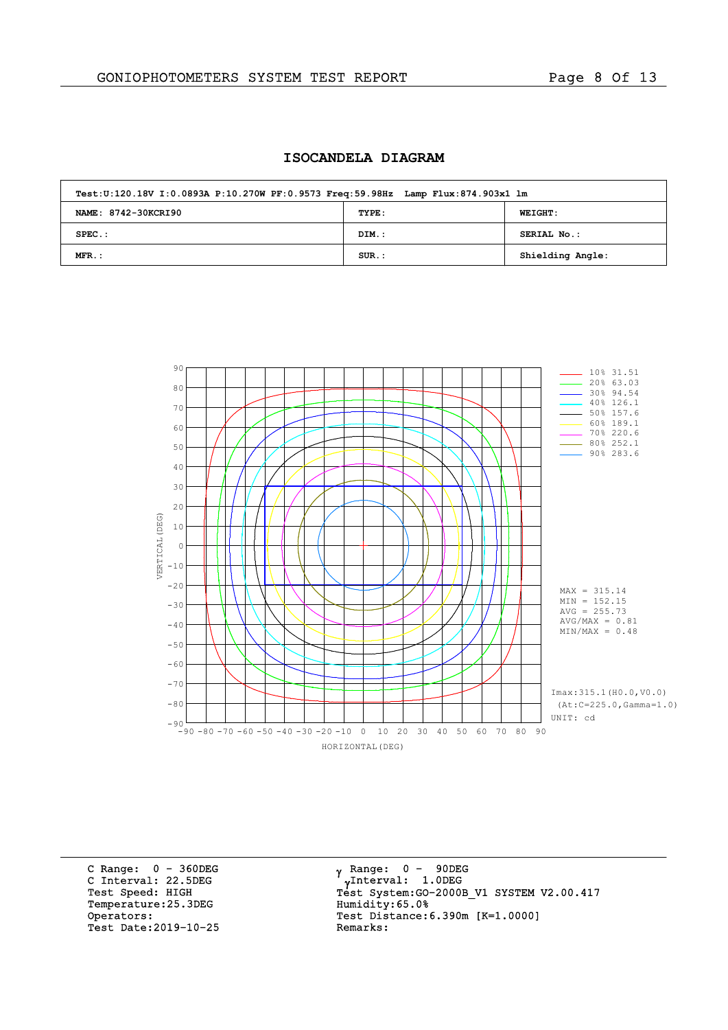# **ISOCANDELA DIAGRAM**

| Test:U:120.18V I:0.0893A P:10.270W PF:0.9573 Freq:59.98Hz Lamp Flux:874.903x1 lm |          |                  |  |  |  |  |  |  |  |
|----------------------------------------------------------------------------------|----------|------------------|--|--|--|--|--|--|--|
| NAME: 8742-30KCRI90                                                              | TYPE:    | <b>WEIGHT:</b>   |  |  |  |  |  |  |  |
| $SPEC.$ :                                                                        | DIM.:    | SERIAL No.:      |  |  |  |  |  |  |  |
| $MFR$ .:                                                                         | $SUR$ .: | Shielding Angle: |  |  |  |  |  |  |  |



C Range: 0 - 360DEG C Interval: 22.5DEG Test Speed: HIGH Temperature:25.3DEG Operators: Test Date:2019-10-25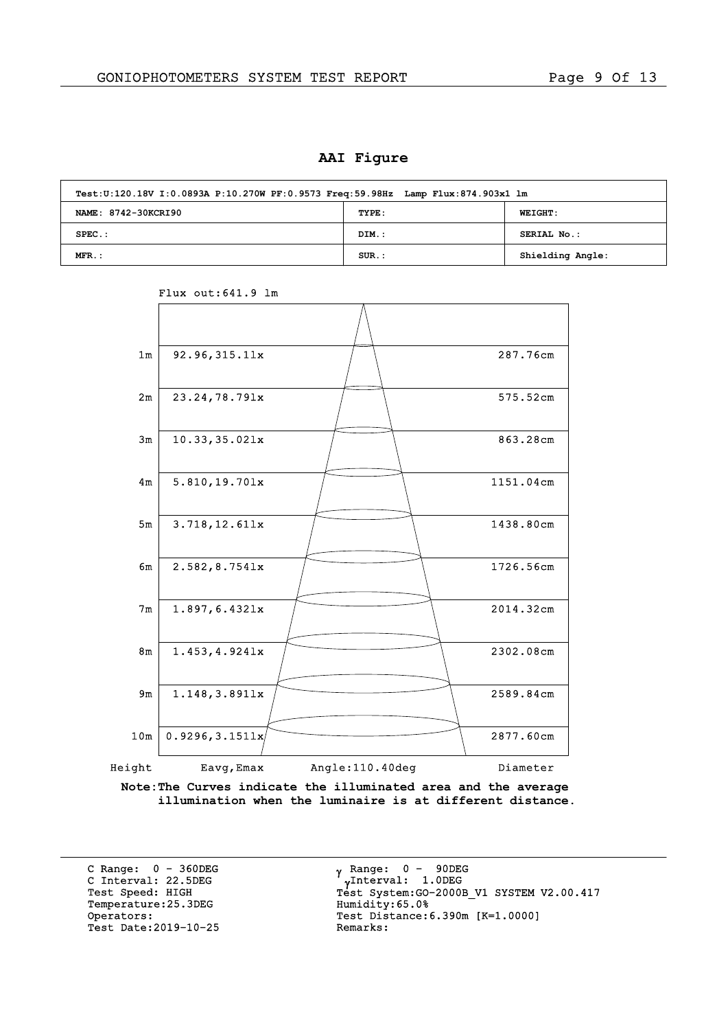**AAI Figure**

| Test:U:120.18V I:0.0893A P:10.270W PF:0.9573 Freq:59.98Hz Lamp Flux:874.903x1 lm |          |                  |  |  |  |  |  |  |  |  |
|----------------------------------------------------------------------------------|----------|------------------|--|--|--|--|--|--|--|--|
| NAME: 8742-30KCRI90                                                              | TYPE:    | <b>WEIGHT:</b>   |  |  |  |  |  |  |  |  |
| $SPEC.$ :                                                                        | DIM.:    | SERIAL No.:      |  |  |  |  |  |  |  |  |
| $MFR$ .:                                                                         | $SUR$ .: | Shielding Angle: |  |  |  |  |  |  |  |  |



Flux out:641.9 lm

**Note:The Curves indicate the illuminated area and the average illumination when the luminaire is at different distance.**

C Range: 0 - 360DEG C Interval: 22.5DEG Test Speed: HIGH Temperature:25.3DEG Operators: Test Date:2019-10-25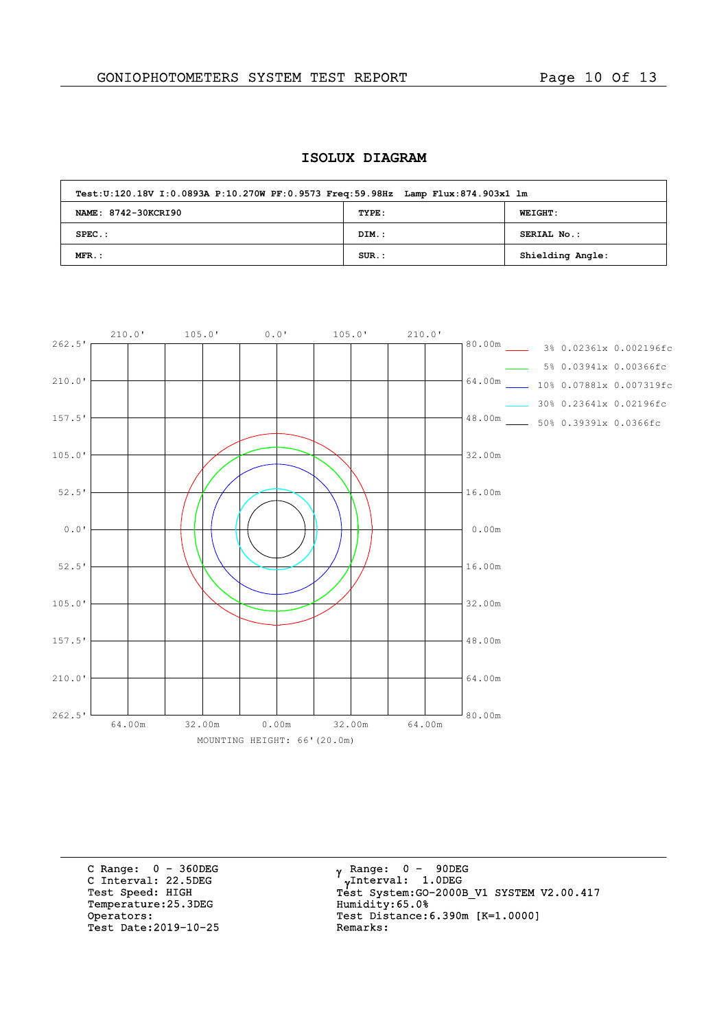# **ISOLUX DIAGRAM**

| Test:U:120.18V I:0.0893A P:10.270W PF:0.9573 Freq:59.98Hz Lamp Flux:874.903x1 lm |          |                  |  |  |  |  |  |  |  |
|----------------------------------------------------------------------------------|----------|------------------|--|--|--|--|--|--|--|
| NAME: 8742-30KCRI90                                                              | TYPE:    | <b>WEIGHT:</b>   |  |  |  |  |  |  |  |
| $SPEC.$ :                                                                        | DIM.:    | SERIAL No.:      |  |  |  |  |  |  |  |
| $MFR$ .:                                                                         | $SUR$ .: | Shielding Angle: |  |  |  |  |  |  |  |



C Range: 0 - 360DEG C Interval: 22.5DEG Test Speed: HIGH Temperature:25.3DEG Operators: Test Date:2019-10-25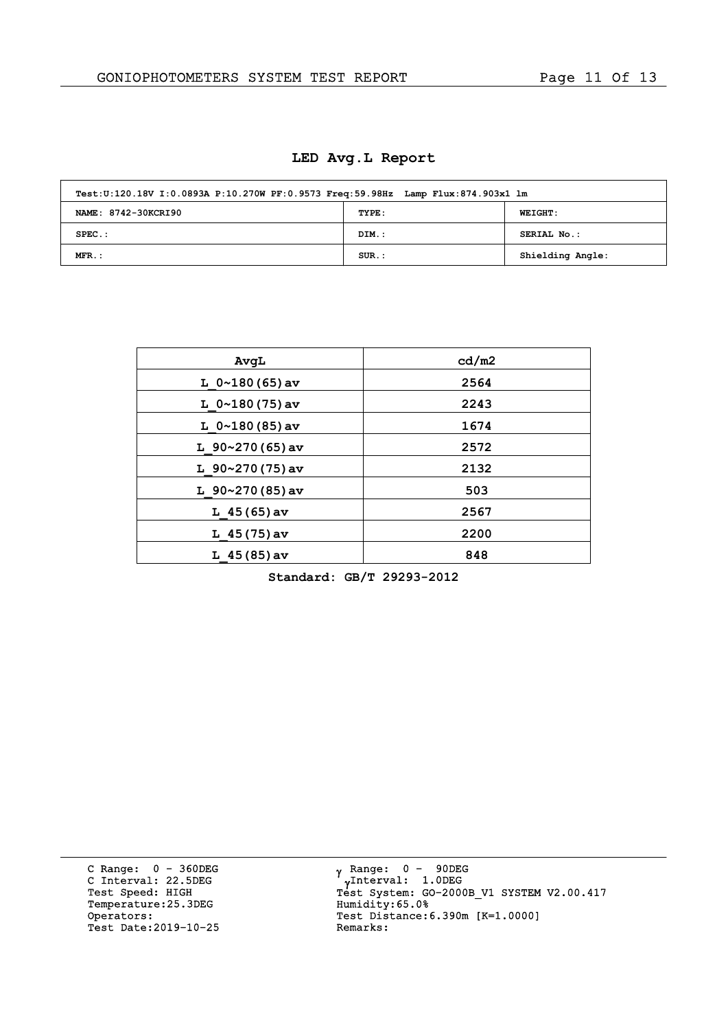**LED Avg.L Report**

| Test:U:120.18V I:0.0893A P:10.270W PF:0.9573 Freq:59.98Hz Lamp Flux:874.903x1 lm |          |                  |  |  |  |  |  |  |  |
|----------------------------------------------------------------------------------|----------|------------------|--|--|--|--|--|--|--|
| NAME: 8742-30KCRI90                                                              | TYPE:    | <b>WEIGHT:</b>   |  |  |  |  |  |  |  |
| $SPEC.$ :                                                                        | DIM.:    | SERIAL No.:      |  |  |  |  |  |  |  |
| $MFR$ .:                                                                         | $SUR$ .: | Shielding Angle: |  |  |  |  |  |  |  |

| AvqL                  | cd/m2 |
|-----------------------|-------|
| L $0~180(65)$ av      | 2564  |
| L $0 \sim 180(75)$ av | 2243  |
| L $0 \sim 180(85)$ av | 1674  |
| $L$ 90~270 (65) av    | 2572  |
| L $90~270(75)$ av     | 2132  |
| L $90~270(85)$ av     | 503   |
| L $45(65)$ av         | 2567  |
| L $45(75)$ av         | 2200  |
| $L$ 45 (85) av        | 848   |

**Standard: GB/T 29293-2012**

C Range: 0 - 360DEG C Interval: 22.5DEG Test Speed: HIGH Temperature:25.3DEG Operators: Test Date:2019-10-25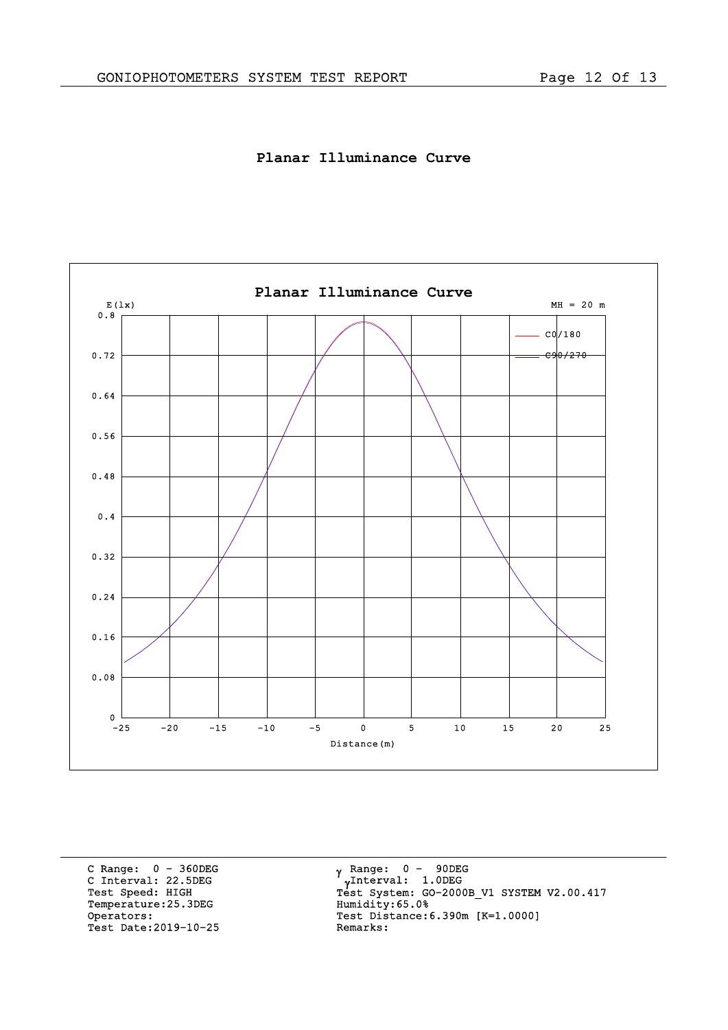

C Range: 0 - 360DEG C Interval: 22.5DEG Test Speed: HIGH Temperature:25.3DEG Operators: Test Date:2019-10-25